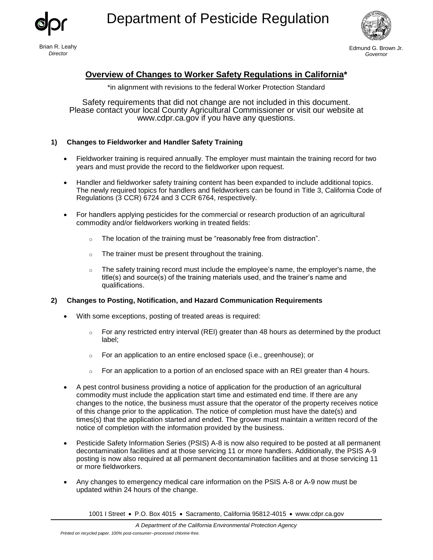

Department of Pesticide Regulation



Edmund G. Brown Jr. *Governor* 

# **Overview of Changes to Worker Safety Regulations in California\***

\*in alignment with revisions to the federal Worker Protection Standard

Safety requirements that did not change are not included in this document. Please contact your local County Agricultural Commissioner or visit our website at www.cdpr.ca.gov if you have any questions.

## **1) Changes to Fieldworker and Handler Safety Training**

- Fieldworker training is required annually. The employer must maintain the training record for two years and must provide the record to the fieldworker upon request.
- Handler and fieldworker safety training content has been expanded to include additional topics. The newly required topics for handlers and fieldworkers can be found in Title 3, California Code of Regulations (3 CCR) 6724 and 3 CCR 6764, respectively.
- For handlers applying pesticides for the commercial or research production of an agricultural commodity and/or fieldworkers working in treated fields:
	- $\circ$  The location of the training must be "reasonably free from distraction".
	- o The trainer must be present throughout the training.
	- $\circ$  The safety training record must include the employee's name, the employer's name, the title(s) and source(s) of the training materials used, and the trainer's name and qualifications.

## **2) Changes to Posting, Notification, and Hazard Communication Requirements**

- With some exceptions, posting of treated areas is required:
	- $\circ$  For any restricted entry interval (REI) greater than 48 hours as determined by the product label;
	- o For an application to an entire enclosed space (i.e., greenhouse); or
	- $\circ$  For an application to a portion of an enclosed space with an REI greater than 4 hours.
- A pest control business providing a notice of application for the production of an agricultural commodity must include the application start time and estimated end time. If there are any changes to the notice, the business must assure that the operator of the property receives notice of this change prior to the application. The notice of completion must have the date(s) and times(s) that the application started and ended. The grower must maintain a written record of the notice of completion with the information provided by the business.
- Pesticide Safety Information Series (PSIS) A-8 is now also required to be posted at all permanent decontamination facilities and at those servicing 11 or more handlers. Additionally, the PSIS A-9 posting is now also required at all permanent decontamination facilities and at those servicing 11 or more fieldworkers.
- Any changes to emergency medical care information on the PSIS A-8 or A-9 now must be updated within 24 hours of the change.

1001 I Street • P.O. Box 4015 • Sacramento, California 95812-4015 • [www.cdpr.ca.gov](http://www.cdpr.ca.gov/)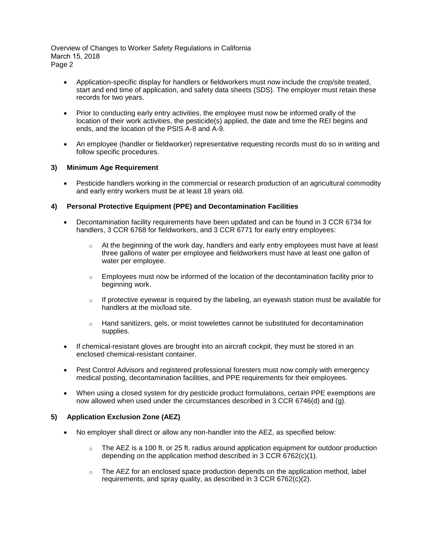Overview of Changes to Worker Safety Regulations in California March 15, 2018 Page 2

- Application-specific display for handlers or fieldworkers must now include the crop/site treated, start and end time of application, and safety data sheets (SDS). The employer must retain these records for two years.
- Prior to conducting early entry activities, the employee must now be informed orally of the location of their work activities, the pesticide(s) applied, the date and time the REI begins and ends, and the location of the PSIS A-8 and A-9.
- An employee (handler or fieldworker) representative requesting records must do so in writing and follow specific procedures.

#### **3) Minimum Age Requirement**

 Pesticide handlers working in the commercial or research production of an agricultural commodity and early entry workers must be at least 18 years old.

#### **4) Personal Protective Equipment (PPE) and Decontamination Facilities**

- Decontamination facility requirements have been updated and can be found in 3 CCR 6734 for handlers, 3 CCR 6768 for fieldworkers, and 3 CCR 6771 for early entry employees:
	- $\circ$  At the beginning of the work day, handlers and early entry employees must have at least three gallons of water per employee and fieldworkers must have at least one gallon of water per employee.
	- $\circ$  Employees must now be informed of the location of the decontamination facility prior to beginning work.
	- $\circ$  If protective eyewear is required by the labeling, an eyewash station must be available for handlers at the mix/load site.
	- $\circ$  Hand sanitizers, gels, or moist towelettes cannot be substituted for decontamination supplies.
- If chemical-resistant gloves are brought into an aircraft cockpit, they must be stored in an enclosed chemical-resistant container.
- Pest Control Advisors and registered professional foresters must now comply with emergency medical posting, decontamination facilities, and PPE requirements for their employees.
- When using a closed system for dry pesticide product formulations, certain PPE exemptions are now allowed when used under the circumstances described in 3 CCR 6746(d) and (g).

#### **5) Application Exclusion Zone (AEZ)**

- No employer shall direct or allow any non-handler into the AEZ, as specified below:
	- $\circ$  The AEZ is a 100 ft. or 25 ft. radius around application equipment for outdoor production depending on the application method described in 3 CCR 6762(c)(1).
	- $\circ$  The AEZ for an enclosed space production depends on the application method, label requirements, and spray quality, as described in 3 CCR 6762(c)(2).